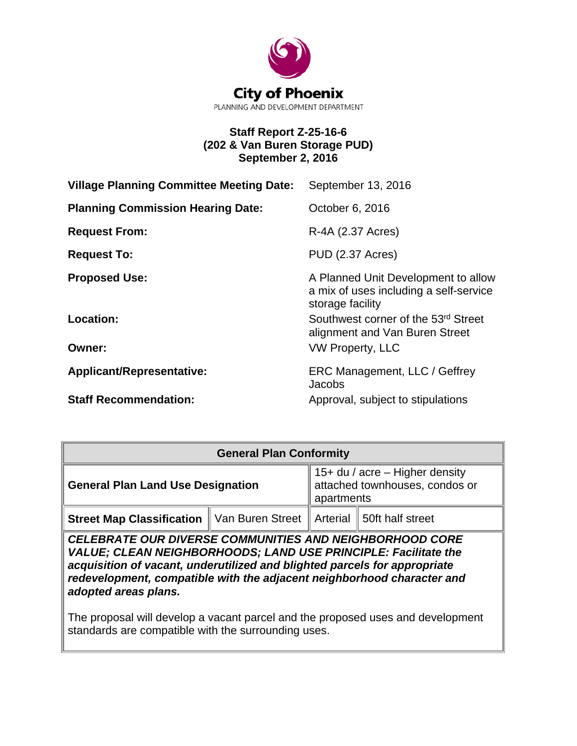

# **Staff Report Z-25-16-6 (202 & Van Buren Storage PUD) September 2, 2016**

| <b>Village Planning Committee Meeting Date:</b> | September 13, 2016                                                                                |
|-------------------------------------------------|---------------------------------------------------------------------------------------------------|
| <b>Planning Commission Hearing Date:</b>        | October 6, 2016                                                                                   |
| <b>Request From:</b>                            | R-4A (2.37 Acres)                                                                                 |
| <b>Request To:</b>                              | <b>PUD (2.37 Acres)</b>                                                                           |
| <b>Proposed Use:</b>                            | A Planned Unit Development to allow<br>a mix of uses including a self-service<br>storage facility |
| Location:                                       | Southwest corner of the 53rd Street<br>alignment and Van Buren Street                             |
| <b>Owner:</b>                                   | <b>VW Property, LLC</b>                                                                           |
| <b>Applicant/Representative:</b>                | ERC Management, LLC / Geffrey<br>Jacobs                                                           |
| <b>Staff Recommendation:</b>                    | Approval, subject to stipulations                                                                 |

| <b>General Plan Conformity</b>                                                    |  |                                                                                            |  |  |  |
|-----------------------------------------------------------------------------------|--|--------------------------------------------------------------------------------------------|--|--|--|
| <b>General Plan Land Use Designation</b>                                          |  | $\parallel$ 15+ du / acre – Higher density<br>attached townhouses, condos or<br>apartments |  |  |  |
| <b>Street Map Classification</b>   Van Buren Street   Arterial   50ft half street |  |                                                                                            |  |  |  |

*CELEBRATE OUR DIVERSE COMMUNITIES AND NEIGHBORHOOD CORE VALUE; CLEAN NEIGHBORHOODS; LAND USE PRINCIPLE: Facilitate the acquisition of vacant, underutilized and blighted parcels for appropriate redevelopment, compatible with the adjacent neighborhood character and adopted areas plans.* 

The proposal will develop a vacant parcel and the proposed uses and development standards are compatible with the surrounding uses.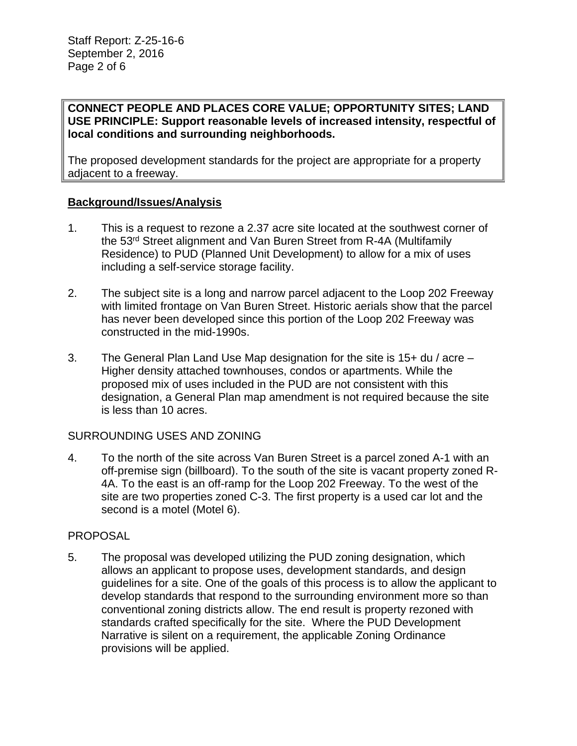### **CONNECT PEOPLE AND PLACES CORE VALUE; OPPORTUNITY SITES; LAND USE PRINCIPLE: Support reasonable levels of increased intensity, respectful of local conditions and surrounding neighborhoods.**

The proposed development standards for the project are appropriate for a property adjacent to a freeway.

## **Background/Issues/Analysis**

- 1. This is a request to rezone a 2.37 acre site located at the southwest corner of the 53rd Street alignment and Van Buren Street from R-4A (Multifamily Residence) to PUD (Planned Unit Development) to allow for a mix of uses including a self-service storage facility.
- 2. The subject site is a long and narrow parcel adjacent to the Loop 202 Freeway with limited frontage on Van Buren Street. Historic aerials show that the parcel has never been developed since this portion of the Loop 202 Freeway was constructed in the mid-1990s.
- 3. The General Plan Land Use Map designation for the site is 15+ du / acre Higher density attached townhouses, condos or apartments. While the proposed mix of uses included in the PUD are not consistent with this designation, a General Plan map amendment is not required because the site is less than 10 acres.

# SURROUNDING USES AND ZONING

4. To the north of the site across Van Buren Street is a parcel zoned A-1 with an off-premise sign (billboard). To the south of the site is vacant property zoned R-4A. To the east is an off-ramp for the Loop 202 Freeway. To the west of the site are two properties zoned C-3. The first property is a used car lot and the second is a motel (Motel 6).

### PROPOSAL

5. The proposal was developed utilizing the PUD zoning designation, which allows an applicant to propose uses, development standards, and design guidelines for a site. One of the goals of this process is to allow the applicant to develop standards that respond to the surrounding environment more so than conventional zoning districts allow. The end result is property rezoned with standards crafted specifically for the site. Where the PUD Development Narrative is silent on a requirement, the applicable Zoning Ordinance provisions will be applied.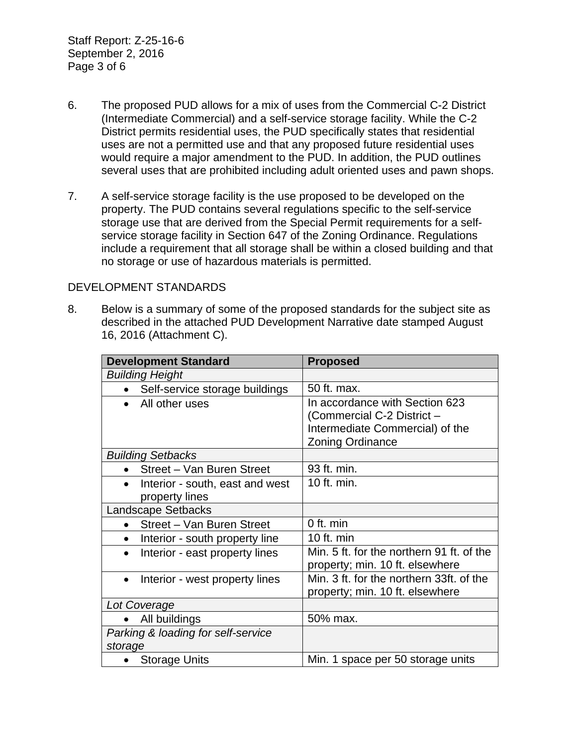Staff Report: Z-25-16-6 September 2, 2016 Page 3 of 6

- 6. The proposed PUD allows for a mix of uses from the Commercial C-2 District (Intermediate Commercial) and a self-service storage facility. While the C-2 District permits residential uses, the PUD specifically states that residential uses are not a permitted use and that any proposed future residential uses would require a major amendment to the PUD. In addition, the PUD outlines several uses that are prohibited including adult oriented uses and pawn shops.
- 7. A self-service storage facility is the use proposed to be developed on the property. The PUD contains several regulations specific to the self-service storage use that are derived from the Special Permit requirements for a selfservice storage facility in Section 647 of the Zoning Ordinance. Regulations include a requirement that all storage shall be within a closed building and that no storage or use of hazardous materials is permitted.

### DEVELOPMENT STANDARDS

8. Below is a summary of some of the proposed standards for the subject site as described in the attached PUD Development Narrative date stamped August 16, 2016 (Attachment C).

| <b>Development Standard</b>                       | <b>Proposed</b>                                                                                                            |
|---------------------------------------------------|----------------------------------------------------------------------------------------------------------------------------|
| <b>Building Height</b>                            |                                                                                                                            |
| Self-service storage buildings                    | 50 ft. max.                                                                                                                |
| All other uses<br>$\bullet$                       | In accordance with Section 623<br>(Commercial C-2 District -<br>Intermediate Commercial) of the<br><b>Zoning Ordinance</b> |
| <b>Building Setbacks</b>                          |                                                                                                                            |
| Street - Van Buren Street                         | 93 ft. min.                                                                                                                |
| Interior - south, east and west<br>property lines | 10 ft. min.                                                                                                                |
| <b>Landscape Setbacks</b>                         |                                                                                                                            |
| Street - Van Buren Street                         | 0 ft. min                                                                                                                  |
| Interior - south property line<br>$\bullet$       | 10 ft. $min$                                                                                                               |
| Interior - east property lines<br>$\bullet$       | Min. 5 ft. for the northern 91 ft. of the<br>property; min. 10 ft. elsewhere                                               |
| Interior - west property lines<br>$\bullet$       | Min. 3 ft. for the northern 33ft. of the<br>property; min. 10 ft. elsewhere                                                |
| Lot Coverage                                      |                                                                                                                            |
| All buildings                                     | 50% max.                                                                                                                   |
| Parking & loading for self-service<br>storage     |                                                                                                                            |
| <b>Storage Units</b>                              | Min. 1 space per 50 storage units                                                                                          |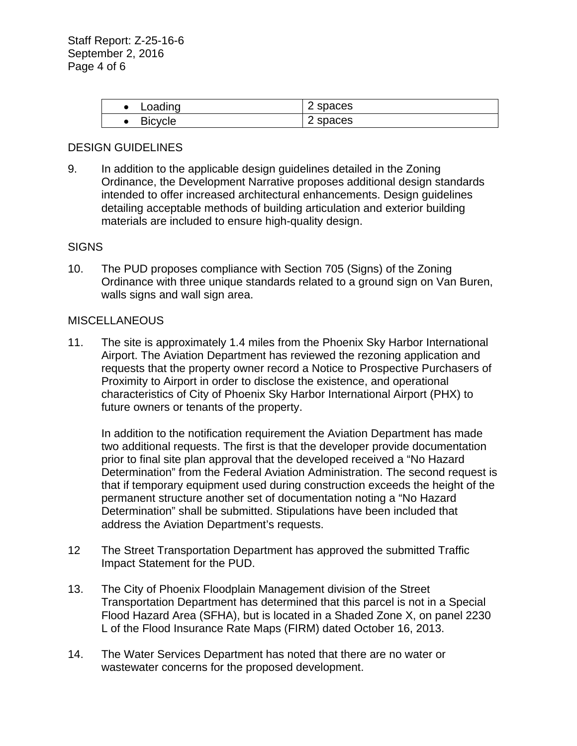| ∟oading        | spaces<br><u>_</u> |
|----------------|--------------------|
| <b>Bicycle</b> | spaces<br><u>_</u> |

### DESIGN GUIDELINES

9. In addition to the applicable design guidelines detailed in the Zoning Ordinance, the Development Narrative proposes additional design standards intended to offer increased architectural enhancements. Design guidelines detailing acceptable methods of building articulation and exterior building materials are included to ensure high-quality design.

#### **SIGNS**

10. The PUD proposes compliance with Section 705 (Signs) of the Zoning Ordinance with three unique standards related to a ground sign on Van Buren, walls signs and wall sign area.

#### MISCELLANEOUS

11. The site is approximately 1.4 miles from the Phoenix Sky Harbor International Airport. The Aviation Department has reviewed the rezoning application and requests that the property owner record a Notice to Prospective Purchasers of Proximity to Airport in order to disclose the existence, and operational characteristics of City of Phoenix Sky Harbor International Airport (PHX) to future owners or tenants of the property.

In addition to the notification requirement the Aviation Department has made two additional requests. The first is that the developer provide documentation prior to final site plan approval that the developed received a "No Hazard Determination" from the Federal Aviation Administration. The second request is that if temporary equipment used during construction exceeds the height of the permanent structure another set of documentation noting a "No Hazard Determination" shall be submitted. Stipulations have been included that address the Aviation Department's requests.

- 12 The Street Transportation Department has approved the submitted Traffic Impact Statement for the PUD.
- 13. The City of Phoenix Floodplain Management division of the Street Transportation Department has determined that this parcel is not in a Special Flood Hazard Area (SFHA), but is located in a Shaded Zone X, on panel 2230 L of the Flood Insurance Rate Maps (FIRM) dated October 16, 2013.
- 14. The Water Services Department has noted that there are no water or wastewater concerns for the proposed development.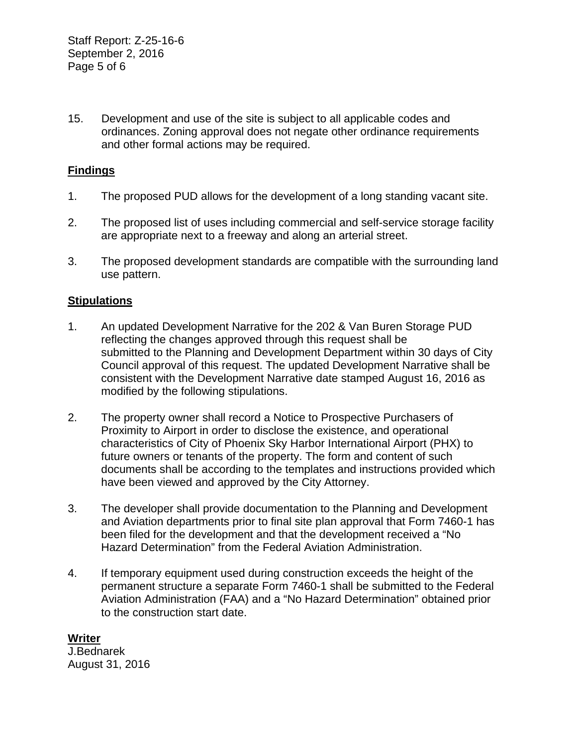15. Development and use of the site is subject to all applicable codes and ordinances. Zoning approval does not negate other ordinance requirements and other formal actions may be required.

# **Findings**

- 1. The proposed PUD allows for the development of a long standing vacant site.
- 2. The proposed list of uses including commercial and self-service storage facility are appropriate next to a freeway and along an arterial street.
- 3. The proposed development standards are compatible with the surrounding land use pattern.

## **Stipulations**

- 1. An updated Development Narrative for the 202 & Van Buren Storage PUD reflecting the changes approved through this request shall be submitted to the Planning and Development Department within 30 days of City Council approval of this request. The updated Development Narrative shall be consistent with the Development Narrative date stamped August 16, 2016 as modified by the following stipulations.
- 2. The property owner shall record a Notice to Prospective Purchasers of Proximity to Airport in order to disclose the existence, and operational characteristics of City of Phoenix Sky Harbor International Airport (PHX) to future owners or tenants of the property. The form and content of such documents shall be according to the templates and instructions provided which have been viewed and approved by the City Attorney.
- 3. The developer shall provide documentation to the Planning and Development and Aviation departments prior to final site plan approval that Form 7460-1 has been filed for the development and that the development received a "No Hazard Determination" from the Federal Aviation Administration.
- 4. If temporary equipment used during construction exceeds the height of the permanent structure a separate Form 7460-1 shall be submitted to the Federal Aviation Administration (FAA) and a "No Hazard Determination" obtained prior to the construction start date.

**Writer** J.Bednarek August 31, 2016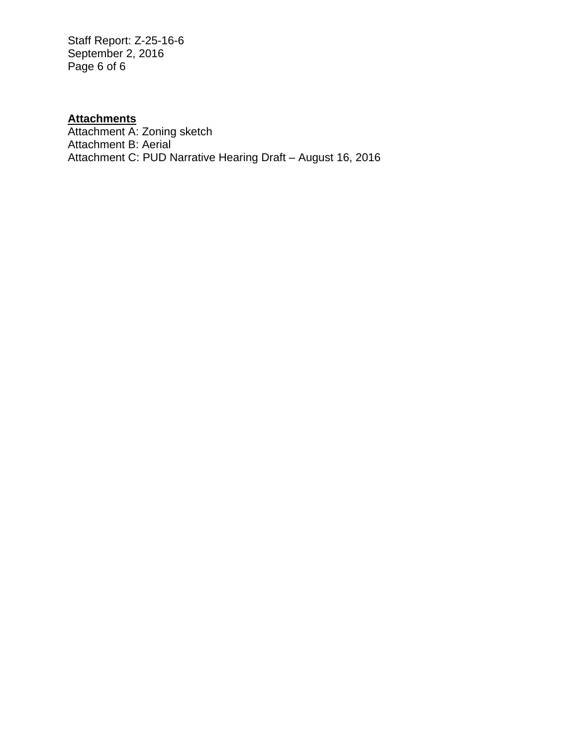Staff Report: Z-25-16-6 September 2, 2016 Page 6 of 6

# **Attachments**

Attachment A: Zoning sketch Attachment B: Aerial Attachment C: PUD Narrative Hearing Draft – August 16, 2016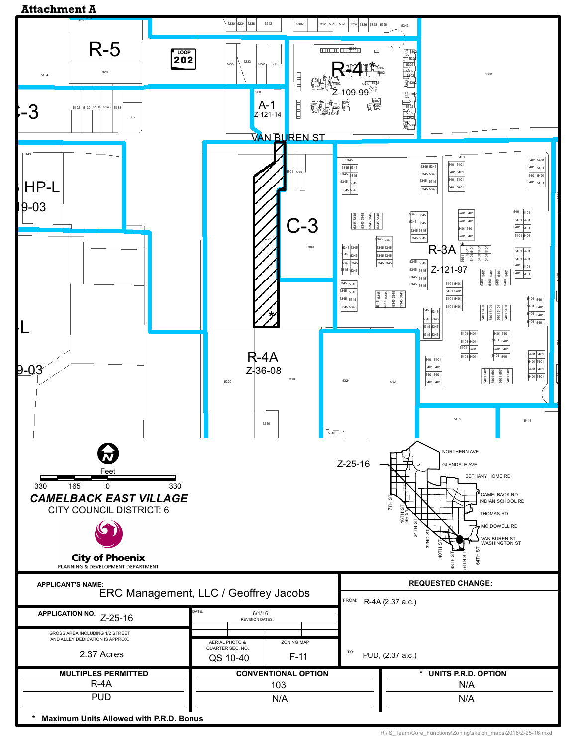